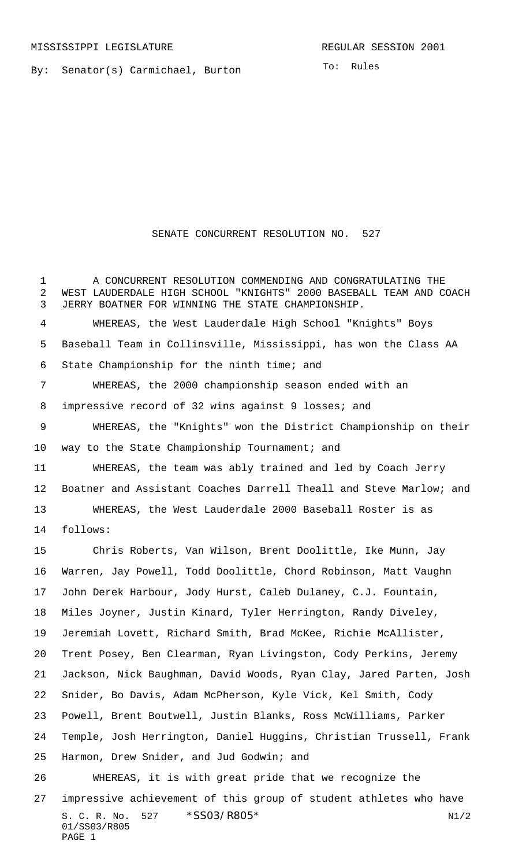By: Senator(s) Carmichael, Burton

To: Rules

## SENATE CONCURRENT RESOLUTION NO. 527

S. C. R. No. \*SS03/R805\* N1/2 01/SS03/R805 PAGE 1 A CONCURRENT RESOLUTION COMMENDING AND CONGRATULATING THE WEST LAUDERDALE HIGH SCHOOL "KNIGHTS" 2000 BASEBALL TEAM AND COACH JERRY BOATNER FOR WINNING THE STATE CHAMPIONSHIP. WHEREAS, the West Lauderdale High School "Knights" Boys Baseball Team in Collinsville, Mississippi, has won the Class AA State Championship for the ninth time; and WHEREAS, the 2000 championship season ended with an impressive record of 32 wins against 9 losses; and WHEREAS, the "Knights" won the District Championship on their 10 way to the State Championship Tournament; and WHEREAS, the team was ably trained and led by Coach Jerry Boatner and Assistant Coaches Darrell Theall and Steve Marlow; and WHEREAS, the West Lauderdale 2000 Baseball Roster is as follows: Chris Roberts, Van Wilson, Brent Doolittle, Ike Munn, Jay Warren, Jay Powell, Todd Doolittle, Chord Robinson, Matt Vaughn John Derek Harbour, Jody Hurst, Caleb Dulaney, C.J. Fountain, Miles Joyner, Justin Kinard, Tyler Herrington, Randy Diveley, Jeremiah Lovett, Richard Smith, Brad McKee, Richie McAllister, Trent Posey, Ben Clearman, Ryan Livingston, Cody Perkins, Jeremy Jackson, Nick Baughman, David Woods, Ryan Clay, Jared Parten, Josh Snider, Bo Davis, Adam McPherson, Kyle Vick, Kel Smith, Cody Powell, Brent Boutwell, Justin Blanks, Ross McWilliams, Parker Temple, Josh Herrington, Daniel Huggins, Christian Trussell, Frank Harmon, Drew Snider, and Jud Godwin; and WHEREAS, it is with great pride that we recognize the impressive achievement of this group of student athletes who have